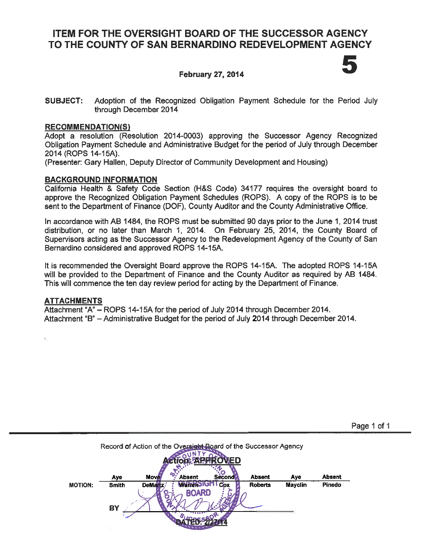# **ITEM FOR THE OVERSIGHT BOARD OF THE SUCCESSOR AGENCY** TO THE COUNTY OF SAN BERNARDINO REDEVELOPMENT AGENCY

## **February 27, 2014**

**SUBJECT:** Adoption of the Recognized Obligation Payment Schedule for the Period July through December 2014

#### **RECOMMENDATION(S)**

Adopt a resolution (Resolution 2014-0003) approving the Successor Agency Recognized Obligation Payment Schedule and Administrative Budget for the period of July through December 2014 (ROPS 14-15A).

(Presenter: Gary Hallen, Deputy Director of Community Development and Housing)

### **BACKGROUND INFORMATION**

California Health & Safety Code Section (H&S Code) 34177 requires the oversight board to approve the Recognized Obligation Payment Schedules (ROPS). A copy of the ROPS is to be sent to the Department of Finance (DOF), County Auditor and the County Administrative Office.

In accordance with AB 1484, the ROPS must be submitted 90 days prior to the June 1, 2014 trust distribution, or no later than March 1, 2014. On February 25, 2014, the County Board of Supervisors acting as the Successor Agency to the Redevelopment Agency of the County of San Bernardino considered and approved ROPS 14-15A.

It is recommended the Oversight Board approve the ROPS 14-15A. The adopted ROPS 14-15A will be provided to the Department of Finance and the County Auditor as required by AB 1484. This will commence the ten day review period for acting by the Department of Finance.

### **ATTACHMENTS**

Attachment "A" - ROPS 14-15A for the period of July 2014 through December 2014. Attachment "B" - Administrative Budget for the period of July 2014 through December 2014.

|                | Aye          | <b>Move</b> | o<br><b>Absent</b> | Second | <b>Absent</b>  | Aye            | <b>Absent</b> |
|----------------|--------------|-------------|--------------------|--------|----------------|----------------|---------------|
| <b>MOTION:</b> | <b>Smith</b> | DeMartz     |                    | Cox    | <b>Roberts</b> | <b>Mayclin</b> | Pinedo        |
|                | <b>BY</b>    |             | <b>BOARD</b>       |        |                |                |               |

Page 1 of 1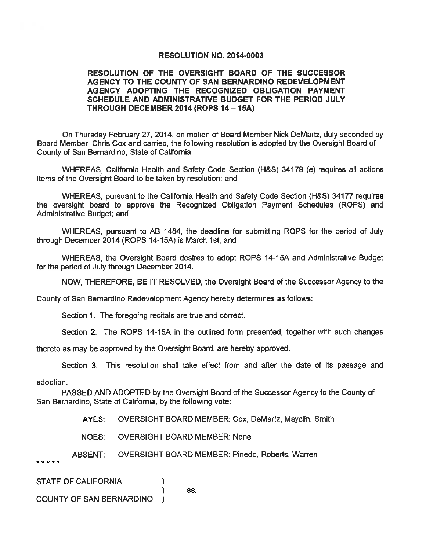#### **RESOLUTION NO. 2014-0003**

#### RESOLUTION OF THE OVERSIGHT BOARD OF THE SUCCESSOR AGENCY TO THE COUNTY OF SAN BERNARDINO REDEVELOPMENT AGENCY ADOPTING THE RECOGNIZED OBLIGATION PAYMENT SCHEDULE AND ADMINISTRATIVE BUDGET FOR THE PERIOD JULY THROUGH DECEMBER 2014 (ROPS 14 - 15A)

On Thursday February 27, 2014, on motion of Board Member Nick DeMartz, duly seconded by Board Member Chris Cox and carried, the following resolution is adopted by the Oversight Board of County of San Bernardino, State of California.

WHEREAS, California Health and Safety Code Section (H&S) 34179 (e) requires all actions items of the Oversight Board to be taken by resolution; and

WHEREAS, pursuant to the California Health and Safety Code Section (H&S) 34177 requires the oversight board to approve the Recognized Obligation Payment Schedules (ROPS) and Administrative Budget; and

WHEREAS, pursuant to AB 1484, the deadline for submitting ROPS for the period of July through December 2014 (ROPS 14-15A) is March 1st; and

WHEREAS, the Oversight Board desires to adopt ROPS 14-15A and Administrative Budget for the period of July through December 2014.

NOW, THEREFORE, BE IT RESOLVED, the Oversight Board of the Successor Agency to the

County of San Bernardino Redevelopment Agency hereby determines as follows:

Section 1. The foregoing recitals are true and correct.

Section 2. The ROPS 14-15A in the outlined form presented, together with such changes

thereto as may be approved by the Oversight Board, are hereby approved.

Section 3. This resolution shall take effect from and after the date of its passage and

#### adoption.

PASSED AND ADOPTED by the Oversight Board of the Successor Agency to the County of San Bernardino, State of California, by the following vote:

> OVERSIGHT BOARD MEMBER: Cox, DeMartz, Mayclin, Smith AYES:

NOES: **OVERSIGHT BOARD MEMBER: None** 

 $\lambda$ 

)

**ABSENT: OVERSIGHT BOARD MEMBER: Pinedo, Roberts, Warren** 

\*\*\*\*\*

**STATE OF CALIFORNIA** 

#### **COUNTY OF SAN BERNARDINO**

SS.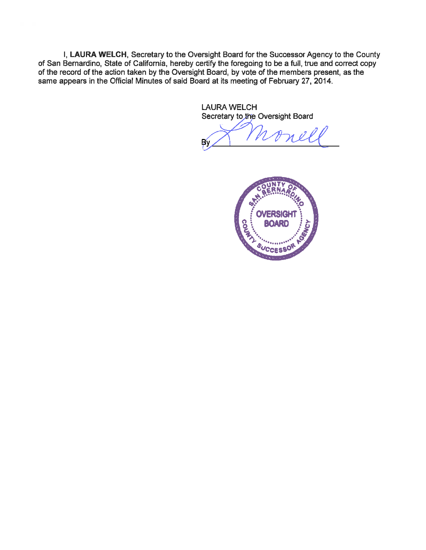I, LAURA WELCH, Secretary to the Oversight Board for the Successor Agency to the County of San Bernardino, State of California, hereby certify the foregoing to be a full, true and correct copy of the record of the action taken by the Oversight Board, by vote of the members present, as the same appears in the Official Minutes of said Board at its meeting of February 27, 2014.

> **LAURA WELCH** Secretary to the Oversight Board

nel β,

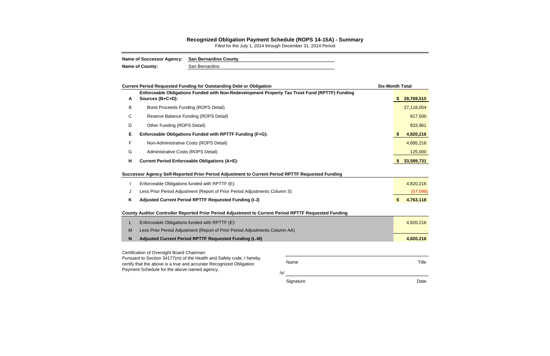/s/

Signature **Date** 

|   | <b>Current Period Requested Funding for Outstanding Debt or Obligation</b>                                                                         |      | <b>Six-Month Total</b> |              |
|---|----------------------------------------------------------------------------------------------------------------------------------------------------|------|------------------------|--------------|
| A | Enforceable Obligations Funded with Non-Redevelopment Property Tax Trust Fund (RPTTF) Funding<br>Sources (B+C+D):                                  |      |                        | \$28,769,515 |
| В | <b>Bond Proceeds Funding (ROPS Detail)</b>                                                                                                         |      |                        | 27,118,054   |
| С | Reserve Balance Funding (ROPS Detail)                                                                                                              |      |                        | 817,500      |
| D | Other Funding (ROPS Detail)                                                                                                                        |      |                        | 833,961      |
| E | Enforceable Obligations Funded with RPTTF Funding (F+G):                                                                                           |      |                        | 4,820,216    |
| F | Non-Administrative Costs (ROPS Detail)                                                                                                             |      |                        | 4,695,216    |
| G | Administrative Costs (ROPS Detail)                                                                                                                 |      | 125,000                |              |
| н | <b>Current Period Enforceable Obligations (A+E):</b>                                                                                               |      | 33,589,731             |              |
|   | Successor Agency Self-Reported Prior Period Adjustment to Current Period RPTTF Requested Funding<br>Enforceable Obligations funded with RPTTF (E): |      |                        | 4,820,216    |
| J | Less Prior Period Adjustment (Report of Prior Period Adjustments Column S)                                                                         |      |                        | (57,098)     |
| K | Adjusted Current Period RPTTF Requested Funding (I-J)                                                                                              |      | \$                     | 4,763,118    |
|   | County Auditor Controller Reported Prior Period Adjustment to Current Period RPTTF Requested Funding                                               |      |                        |              |
| L | Enforceable Obligations funded with RPTTF (E):                                                                                                     |      |                        | 4,820,216    |
| M | Less Prior Period Adjustment (Report of Prior Period Adjustments Column AA)                                                                        |      |                        |              |
| N | Adjusted Current Period RPTTF Requested Funding (L-M)                                                                                              |      | 4,820,216              |              |
|   | Certification of Oversight Board Chairman:                                                                                                         |      |                        |              |
|   | Pursuant to Section 34177(m) of the Health and Safety code, I hereby<br>certify that the above is a true and accurate Recognized Obligation        | Name |                        | Title        |

certify that the above is a true and accurate Recognized Obligation Payment Schedule for the above named agency.

#### **Recognized Obligation Payment Schedule (ROPS 14-15A) - Summary**

Filed for the July 1, 2014 through December 31, 2014 Period

| Name of Successor Agency: San Bernardino County |                |
|-------------------------------------------------|----------------|
| <b>Name of County:</b>                          | San Bernardino |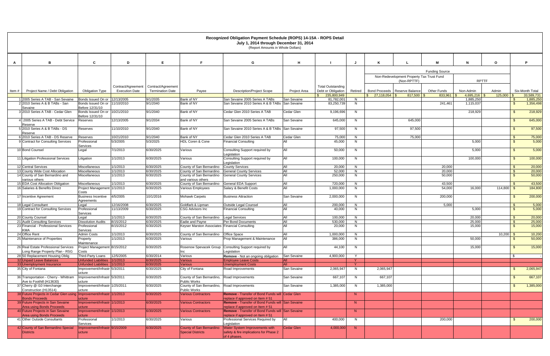|                                                                                               |                                                                |                                             |                                               |                                                                    | Recognized Obligation Payment Schedule (ROPS) 14-15A - ROPS Detail<br>July 1, 2014 through December 31, 2014<br>(Report Amounts in Whole Dollars) |                           |                                         |         |                                  |                                           |                       |                        |                    |                        |
|-----------------------------------------------------------------------------------------------|----------------------------------------------------------------|---------------------------------------------|-----------------------------------------------|--------------------------------------------------------------------|---------------------------------------------------------------------------------------------------------------------------------------------------|---------------------------|-----------------------------------------|---------|----------------------------------|-------------------------------------------|-----------------------|------------------------|--------------------|------------------------|
| $\overline{B}$                                                                                | C                                                              | D                                           | E                                             |                                                                    | G                                                                                                                                                 | н                         |                                         |         |                                  |                                           |                       | N                      | $\mathbf{o}$       | P                      |
| A                                                                                             |                                                                |                                             |                                               |                                                                    |                                                                                                                                                   |                           |                                         |         |                                  |                                           |                       |                        |                    |                        |
|                                                                                               |                                                                |                                             |                                               |                                                                    |                                                                                                                                                   |                           |                                         |         |                                  | Non-Redevelopment Property Tax Trust Fund | <b>Funding Source</b> |                        |                    |                        |
|                                                                                               |                                                                |                                             |                                               |                                                                    |                                                                                                                                                   |                           |                                         |         |                                  | (Non-RPTTF)                               |                       | <b>RPTTF</b>           |                    |                        |
| Project Name / Debt Obligation<br>Item#                                                       | <b>Obligation Type</b>                                         | Contract/Agreement<br><b>Execution Date</b> | Contract/Agreement<br><b>Termination Date</b> | Payee                                                              | <b>Description/Project Scope</b>                                                                                                                  | Project Area              | Total Outstanding<br>Debt or Obligation | Retired |                                  | Bond Proceeds   Reserve Balance           | <b>Other Funds</b>    | Non-Admin              | Admin              | Six-Month Total        |
|                                                                                               |                                                                |                                             |                                               |                                                                    |                                                                                                                                                   |                           | 235,800,949                             |         | $27,118,054$ \$<br>$\mathcal{L}$ | $817,500$ \$                              | 833.961               | 4.695.216              | 125,000            | 33.589.731             |
| 1 2005 Series A TAB - San Sevaine<br>2 2010 Series A & B TABs - San                           | Bonds Issued On or 12/13/2005<br>Bonds Issued On or            | 11/10/2010                                  | 9/1/2035<br>9/1/2040                          | Bank of NY<br>Bank of NY                                           | San Sevaine 2005 Series A TABs<br>San Sevaine 2010 Series A & B TABs San Sevaine                                                                  | <b>San Sevaine</b>        | 81.782.001<br>83,250,739                | N<br>N  |                                  |                                           | 241,461               | 1,885,250<br>1,115,037 | - \$               | 1,885,250<br>1,356,498 |
| Sevaine                                                                                       | Before 12/31/10                                                |                                             |                                               |                                                                    |                                                                                                                                                   |                           |                                         |         |                                  |                                           |                       |                        |                    |                        |
| 3 2010 Series A TAB - Cedar Glen                                                              | Bonds Issued On or 10/21/2010<br>Before 12/31/10               |                                             | 9/1/2040                                      | Bank of NY                                                         | Cedar Glen 2010 Series A TAB                                                                                                                      | Cedar Glen                | 9,196,696                               | N       |                                  |                                           |                       | 218,929                | - \$               | 218,929                |
| 2005 Series A TAB - Debt Service<br>Reserve                                                   | Reserves                                                       | 12/13/2005                                  | 9/1/2034                                      | Bank of NY                                                         | San Sevaine 2005 Series A TABs                                                                                                                    | San Sevaine               | 645,000                                 | N       |                                  | 645,000                                   |                       |                        | - \$               | 645,000                |
| 5 2010 Series A & B TABs - DS<br>Reserve                                                      | Reserves                                                       | 11/10/2010                                  | 9/1/2040                                      | Bank of NY                                                         | San Sevaine 2010 Series A & B TABs San Sevaine                                                                                                    |                           | 97,500                                  | N       |                                  | 97,500                                    |                       |                        | -S                 | 97,500                 |
| 6 2010 Series A TAB - DS Reserve                                                              | Reserves                                                       | 10/21/2010                                  | 9/1/2040                                      | Bank of NY                                                         | Cedar Glen 2010 Series A TAB                                                                                                                      | Cedar Glen                | 75,000                                  | N.      |                                  | 75,000                                    |                       |                        | - \$               | 75,000                 |
| 9 Contract for Consulting Services                                                            | Professional<br><b>Services</b>                                | 5/3/2005                                    | 5/3/2025                                      | HDL Coren & Cone                                                   | Financial Consulting                                                                                                                              |                           | 45,000                                  | N       |                                  |                                           |                       | 5,000                  | $^{\circ}$         | 5,000                  |
| 10 Bond Counsel                                                                               | Legal                                                          | 7/1/2013                                    | 6/30/2025                                     | Various                                                            | Consulting Support required by<br>Legislation                                                                                                     | All                       | 50,000                                  | N       |                                  |                                           |                       | 5,000                  | $\mathbf{\$}$      | 5,000                  |
| 11 Litigation Professional Services                                                           | Litigation                                                     | 1/1/2013                                    | 6/30/2025                                     | Various                                                            | Consulting Support required by<br>Legislation                                                                                                     | All                       | 100,000                                 | N       |                                  |                                           |                       | 100,000                | - \$               | 100,000                |
| 12 Central Services                                                                           | Miscellaneous                                                  | 1/1/2013                                    | 6/30/2025                                     | County of San Bernardino                                           | <b>County Services</b>                                                                                                                            | All                       | 20,000                                  | N       |                                  |                                           | 20,000                |                        | - \$               | 20,000                 |
| 13 County Wide Cost Allocation                                                                | Miscellaneous                                                  | 1/1/2013                                    | 6/30/2025                                     | County of San Bernardino                                           | <b>General County Services</b>                                                                                                                    | All                       | 52.000                                  | N       |                                  |                                           | 20,000                |                        | - \$               | 20,000                 |
| 14 County of San Bernardino and<br>various others                                             | Miscellaneous                                                  | 1/1/2013                                    | 6/30/2025                                     | County of San Bernardino<br>and various others                     | <b>General County Services</b>                                                                                                                    | All                       | 250,000                                 | N       |                                  |                                           | 50,000                |                        | $\mathbf{\hat{s}}$ | 50,000                 |
| 15 EDA Cost Allocation Obligation                                                             | Miscellaneous                                                  | 1/1/2013                                    | 6/30/2025                                     | County of San Bernardino                                           | <b>General EDA Support</b>                                                                                                                        | All                       | 720.000                                 | N       |                                  |                                           | 43.500                |                        | - \$               | 43,500                 |
| 16 Salaries & Benefits Direct                                                                 | Project Management 1/1/2013<br>Costs                           |                                             | 6/30/2025                                     | Various Employees                                                  | Salary & Benefit Costs                                                                                                                            | All                       | 1,000,000                               | N       |                                  |                                           | 54,000                | 16,000                 | $114,800$ \$       | 184,800                |
| 17 Incentive Agreement                                                                        | <b>Business Incentive</b><br>Aareements                        | 4/5/2005                                    | 10/1/2016                                     | <b>Mohawk Carpets</b>                                              | <b>Business Attraction</b>                                                                                                                        | <b>San Sevaine</b>        | 2,000,000                               | N.      |                                  |                                           | 200,000               |                        | - \$               | 200,000                |
| 18 Legal Consultant                                                                           | Legal                                                          | 12/16/2008                                  | 6/30/2025                                     | Goldfarb & Lipman                                                  | <b>Outside Legal Counsel</b>                                                                                                                      | All                       | 200,000                                 | N       |                                  |                                           | 5,000                 |                        | - \$               | 5,000                  |
| 19 Contract for Consulting Services                                                           | Professional<br>Services                                       | 11/13/2009                                  | 6/30/2025                                     | CSG Advisors Inc                                                   | <b>Financial Consulting</b>                                                                                                                       | All                       | 40,000                                  | N       |                                  |                                           |                       | 5,000                  | - \$               | 5,000                  |
| 20 County Counsel                                                                             | Legal                                                          | 1/1/2013                                    | 6/30/2025                                     | County of San Bernardino   Legal Services                          |                                                                                                                                                   | All                       | 100,000                                 | N       |                                  |                                           |                       | 20.000                 | <b>S</b>           | 20,000                 |
| 21 Audit Consulting Services                                                                  | <b>Dissolution Audits</b>                                      | 8/15/2012                                   | 6/30/2025                                     | Eadie and Payne                                                    | Per Bond Documents                                                                                                                                | All                       | 530,000                                 | N       |                                  |                                           |                       | 25,000                 | - \$               | 25,000                 |
| 23 Financial - Professional Services<br><b>KMA</b>                                            | Professional<br>Services                                       | 8/15/2012                                   | 6/30/2025                                     | Keyser Marston Associates   Financial Consulting                   |                                                                                                                                                   | All                       | 20,000                                  | N       |                                  |                                           |                       | 15,000                 | - \$               | 15,000                 |
| 24 Office Rent                                                                                | <b>Admin Costs</b>                                             | 1/1/2013                                    | 6/30/2025                                     | County of San Bernardino   Office Space                            |                                                                                                                                                   | All                       | 1,000,000                               | N       |                                  |                                           |                       |                        | $10,200$ \$        | 10,200                 |
| 25 Maintenance of Properties                                                                  | Property<br>Maintenance                                        | 1/1/2013                                    | 6/30/2025                                     | Various                                                            | Prop Management & Maintenance                                                                                                                     | All                       | 386,000                                 | N       |                                  |                                           |                       | 50,000                 | $\mathbf{\hat{s}}$ | 50,000                 |
| 26 Real Estate Professional Services<br>Long Range Property Plan - RSG                        | Project Management 8/15/2012<br>Costs                          |                                             | 6/30/2025                                     | nc                                                                 | Rosenow Spevacek Group Consulting Support required by<br>Legislation                                                                              | All                       | 44,100                                  | N       |                                  |                                           |                       | 15,000                 | $\mathbb{S}$       | 15,000                 |
| 28 50 Replacement Housing Oblig                                                               | Third-Party Loans                                              | 12/5/2005                                   | 6/30/2014                                     | Various                                                            | Remove - Not an ongoing obilgation                                                                                                                | San Sevaine               | 4,900,000                               | Y       |                                  |                                           |                       |                        | \$                 |                        |
| 32 Unpaid Leave Balances                                                                      | Unfunded Liabilities 1/1/2013                                  |                                             | 6/30/2025                                     | <b>Various</b>                                                     | <b>Employee Leave Costs</b>                                                                                                                       | <b>AII</b>                |                                         | Y       |                                  |                                           |                       |                        |                    |                        |
| 33 Unemployment Insurance<br>35 City of Fontana                                               | Unfunded Liabilities 1/1/2013<br>Improvement/Infrastr 5/3/2011 |                                             | 6/30/2025<br>6/30/2025                        | <b>Various</b><br>City of Fontana                                  | <b>Unemployment Costs</b><br>Road Improvements                                                                                                    | <b>AII</b><br>San Sevaine | 2,065,947                               | N       | 2,065,947                        |                                           |                       |                        | - \$               | 2,065,947              |
| 36 Transportation - Cherry - Whittram                                                         | ucture                                                         |                                             |                                               | County of San Bernardino, Road Improvements                        |                                                                                                                                                   |                           |                                         |         |                                  |                                           |                       |                        |                    |                        |
| Ave to Foothill (H13630)                                                                      | Improvement/Infrastr 5/3/2011<br>ucture                        |                                             | 6/30/2025                                     | <b>Public Works</b>                                                |                                                                                                                                                   | San Sevaine               | 667,107                                 | N       | 667,107                          |                                           |                       |                        | - \$               | 667,107                |
| 37 Cherry @ 110 Interchange<br>Construction (H13514)                                          | Improvement/Infrastr 1/25/2011<br>ucture                       |                                             | 6/30/2025                                     | County of San Bernardino, Road Improvements<br><b>Public Works</b> |                                                                                                                                                   | San Sevaine               | 1,385,000                               | N       | 1,385,000                        |                                           |                       |                        | - \$               | 1,385,000              |
| 38 Future Projects in Cedar Glen using Improvement/Infrastr 1/1/2013<br><b>Bonds Proceeds</b> | ucture                                                         |                                             | 6/30/2025                                     | <b>Various Contractors</b>                                         | <b>Remove</b> - Transfer of Bond Funds will Cedar Glen<br>replace if approved on Item # 51                                                        |                           |                                         | N       |                                  |                                           |                       |                        |                    |                        |
| 39 Future Projects in San Sevaine<br><b>Area using Bonds Proceeds</b>                         | Improvement/Infrastr 1/1/2013<br>ucture                        |                                             | 6/30/2025                                     | <b>Various Contractors</b>                                         | <b>Remove</b> - Transfer of Bond Funds will San Sevaine<br>replace if approved on Item # 51                                                       |                           |                                         | N       |                                  |                                           |                       |                        |                    |                        |
| 40 Future Projects in San Sevaine<br>Area using Bonds Proceeds                                | Improvement/Infrastr 1/1/2013                                  |                                             | 6/30/2025                                     | <b>Various Contractors</b>                                         | <b>Remove - Transfer of Bond Funds will San Sevaine</b><br>replace if approved on Item # 51                                                       |                           |                                         | N       |                                  |                                           |                       |                        |                    |                        |
| 41 Other Outside Consultants                                                                  | ucture<br>Professional                                         | 1/1/2013                                    | 6/30/2025                                     | Various                                                            | Professional Services Required by                                                                                                                 | All                       | 400,000                                 | N       |                                  |                                           | 200,000               |                        | - \$               | 200,000                |
| 42 County of San Bernardino Special                                                           | Services<br>Improvement/Infrastr 9/15/2009                     |                                             | 6/30/2025                                     | County of San Bernardino                                           | Legislation<br><b>Nater System Improvements with</b>                                                                                              | Cedar Glen                | 4,000,000                               | N       |                                  |                                           |                       |                        |                    |                        |
| <b>Districts</b>                                                                              | ucture                                                         |                                             |                                               | <b>Special Districts</b>                                           | safety & fire implications for Phase 2<br>of 4 phases.                                                                                            |                           |                                         |         |                                  |                                           |                       |                        |                    |                        |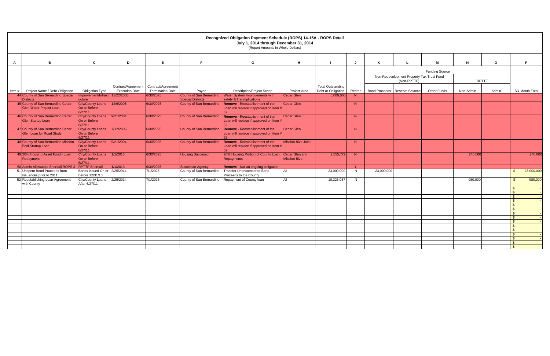|              |                                                                 |                                              |                       |                         |                          | Recognized Obligation Payment Schedule (ROPS) 14-15A - ROPS Detail<br>July 1, 2014 through December 31, 2014<br>(Report Amounts in Whole Dollars) |                                               |                          |         |                       |                                                          |                    |              |         |                                          |
|--------------|-----------------------------------------------------------------|----------------------------------------------|-----------------------|-------------------------|--------------------------|---------------------------------------------------------------------------------------------------------------------------------------------------|-----------------------------------------------|--------------------------|---------|-----------------------|----------------------------------------------------------|--------------------|--------------|---------|------------------------------------------|
| $\mathsf{A}$ | B                                                               | $\mathbf{c}$                                 | D                     | E                       | F.                       | G                                                                                                                                                 | H                                             |                          | J       |                       |                                                          | м                  | $\mathbf N$  | $\circ$ | P                                        |
|              |                                                                 |                                              |                       |                         |                          |                                                                                                                                                   |                                               |                          |         | <b>Funding Source</b> |                                                          |                    |              |         |                                          |
|              |                                                                 |                                              |                       |                         |                          |                                                                                                                                                   |                                               |                          |         |                       | Non-Redevelopment Property Tax Trust Fund<br>(Non-RPTTF) |                    | <b>RPTTF</b> |         |                                          |
|              |                                                                 |                                              | Contract/Agreement    | Contract/Agreement      |                          |                                                                                                                                                   |                                               | <b>Total Outstanding</b> |         |                       |                                                          |                    |              |         |                                          |
| Item#        | Project Name / Debt Obligation                                  | <b>Obligation Type</b>                       | <b>Execution Date</b> | <b>Termination Date</b> | Payee                    | <b>Description/Project Scope</b>                                                                                                                  | <b>Project Area</b>                           | Debt or Obligation       | Retired |                       | Bond Proceeds   Reserve Balance                          | <b>Other Funds</b> | Non-Admin    | Admin   | Six-Month Total                          |
|              | 44 County of San Bernardino Special<br><b>Districts</b>         | Improvement/Infrastr 11/22/2005<br>ucture    |                       | 6/30/2025               | <b>Special Districts</b> | County of San Bernardino   Water System Improvements with<br>safety & fire implications                                                           | <b>Cedar Glen</b>                             | 5,000,000                | N       |                       |                                                          |                    |              |         |                                          |
|              | 45 County of San Bernardino Cedar                               | City/County Loans                            | 12/6/2005             | 6/30/2025               | County of San Bernardino | <b>Remove - Reestablishment of the</b>                                                                                                            | <b>Cedar Glen</b>                             |                          | N       |                       |                                                          |                    |              |         |                                          |
|              | Glen Water Project Loan                                         | On or Before<br>6/27/11                      |                       |                         |                          | Loan will replace if approved on Item #                                                                                                           |                                               |                          |         |                       |                                                          |                    |              |         |                                          |
|              | 46 County of San Bernardino Cedar<br>Glen Startup Loan          | City/County Loans<br>On or Before<br>6/27/11 | 9/21/2004             | 6/30/2025               | County of San Bernardino | <b>Remove - Reestablishment of the</b><br>Loan will replace if approved on Item #                                                                 | <b>Cedar Glen</b>                             |                          | N       |                       |                                                          |                    |              |         |                                          |
|              | 47 County of San Bernardino Cedar<br>Glen Loan for Road Study   | City/County Loans<br>On or Before<br>6/27/11 | 7/12/2005             | 6/30/2025               | County of San Bernardino | <b>Remove - Reestablishment of the</b><br>Loan will replace if approved on Item #                                                                 | <b>Cedar Glen</b>                             |                          | N       |                       |                                                          |                    |              |         |                                          |
|              | 48 County of San Bernardino Mission<br><b>Blvd Startup Loan</b> | City/County Loans<br>On or Before<br>6/27/11 | 9/21/2004             | 6/30/2025               | County of San Bernardino | Remove - Reestablishment of the<br>Loan will replace if approved on Item #                                                                        | <b>Mission Blvd Joint</b>                     |                          | N       |                       |                                                          |                    |              |         |                                          |
|              | 49 20% Housing Asset Fund - Loan<br>Repayment                   | City/County Loans<br>On or Before<br>6/27/11 | 1/1/2013              | 6/30/2025               | <b>Housing Successor</b> | 20% Housing Portion of County Loan<br>Repayments                                                                                                  | <b>Cedar Glen and</b><br><b>Mission Blvd.</b> | 2,555,772                | N       |                       |                                                          |                    | 240,000      |         | 240,000                                  |
|              | 50 Admin Allowance Shortfall ROPS                               | <b>RPTTF Shortfall</b>                       | 1/1/2013              | 6/30/2025               | <b>Successor Agency</b>  | <b>Remove</b> - Not an ongoing obilgation                                                                                                         |                                               |                          | $\vee$  |                       |                                                          |                    |              |         |                                          |
|              | 51 Unspent Bond Proceeds from<br>Issuances prior to 2011        | Bonds Issued On or<br>Before 12/31/10        | 2/25/2014             | 7/1/2025                | County of San Bernardino | <b>Transfer Unencumbered Bond</b><br>Proceeds to the County                                                                                       | ΔIΙ                                           | 23,000,000               | N       | 23,000,000            |                                                          |                    |              |         | 23,000,000<br>$\mathcal{S}$              |
|              | 52 Reestablishing Loan Agreement<br>with County                 | <b>City/County Loans</b><br>After 6/27/11    | 2/25/2014             | 7/1/2025                | County of San Bernardino | Repayment of County Ioan                                                                                                                          | <b>AII</b>                                    | 10,223,087               | N       |                       |                                                          |                    | 980,000      |         | 980,000<br>$\mathbf{\hat{s}}$            |
|              |                                                                 |                                              |                       |                         |                          |                                                                                                                                                   |                                               |                          |         |                       |                                                          |                    |              |         | \$.                                      |
|              |                                                                 |                                              |                       |                         |                          |                                                                                                                                                   |                                               |                          |         |                       |                                                          |                    |              |         | $\mathfrak{L}$                           |
|              |                                                                 |                                              |                       |                         |                          |                                                                                                                                                   |                                               |                          |         |                       |                                                          |                    |              |         | $\mathbf{\hat{s}}$                       |
|              |                                                                 |                                              |                       |                         |                          |                                                                                                                                                   |                                               |                          |         |                       |                                                          |                    |              |         | $\mathbb{S}$<br>$\mathfrak{s}$           |
|              |                                                                 |                                              |                       |                         |                          |                                                                                                                                                   |                                               |                          |         |                       |                                                          |                    |              |         | $\mathbf{\hat{s}}$                       |
|              |                                                                 |                                              |                       |                         |                          |                                                                                                                                                   |                                               |                          |         |                       |                                                          |                    |              |         | $\mathbf{\$}$                            |
|              |                                                                 |                                              |                       |                         |                          |                                                                                                                                                   |                                               |                          |         |                       |                                                          |                    |              |         | - \$                                     |
|              |                                                                 |                                              |                       |                         |                          |                                                                                                                                                   |                                               |                          |         |                       |                                                          |                    |              |         | $\mathbf{\$}$                            |
|              |                                                                 |                                              |                       |                         |                          |                                                                                                                                                   |                                               |                          |         |                       |                                                          |                    |              |         | $\mathfrak{L}$                           |
|              |                                                                 |                                              |                       |                         |                          |                                                                                                                                                   |                                               |                          |         |                       |                                                          |                    |              |         | $\mathbf{\$}$                            |
|              |                                                                 |                                              |                       |                         |                          |                                                                                                                                                   |                                               |                          |         |                       |                                                          |                    |              |         | $\mathbf{\hat{s}}$<br>$\mathbf{\hat{s}}$ |
|              |                                                                 |                                              |                       |                         |                          |                                                                                                                                                   |                                               |                          |         |                       |                                                          |                    |              |         | $\mathbf{R}$                             |
|              |                                                                 |                                              |                       |                         |                          |                                                                                                                                                   |                                               |                          |         |                       |                                                          |                    |              |         | ፍ                                        |
|              |                                                                 |                                              |                       |                         |                          |                                                                                                                                                   |                                               |                          |         |                       |                                                          |                    |              |         |                                          |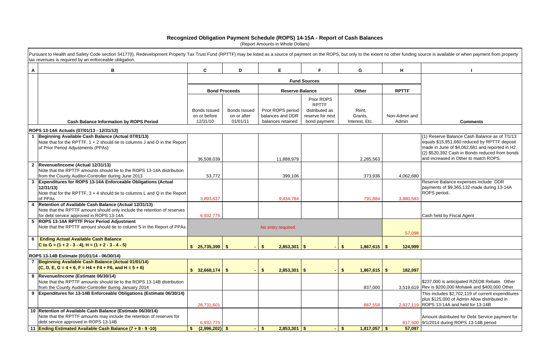|                | funding source is available or when payment from property                                                                                                                                                                                   |
|----------------|---------------------------------------------------------------------------------------------------------------------------------------------------------------------------------------------------------------------------------------------|
|                |                                                                                                                                                                                                                                             |
|                |                                                                                                                                                                                                                                             |
| ΓTF            |                                                                                                                                                                                                                                             |
|                |                                                                                                                                                                                                                                             |
|                |                                                                                                                                                                                                                                             |
| min and<br>nin | <b>Comments</b>                                                                                                                                                                                                                             |
|                |                                                                                                                                                                                                                                             |
|                | (1) Reserve Balance Cash Balance as of 7/1/13<br>equals \$15,951,660 reduced by RPTTF deposit<br>made in June of \$4,062,681 and reported in H2.<br>(2) \$520,392 Cash in Bonds reduced from bonds<br>and increased in Other to match ROPS. |
| 062,680        |                                                                                                                                                                                                                                             |
| 880,583        | Reserve Balance expenses include DDR<br>payments of \$9,365,132 made during 13-14A<br>ROPS period                                                                                                                                           |
|                | Cash held by Fiscal Agent                                                                                                                                                                                                                   |
| 57,098         |                                                                                                                                                                                                                                             |
| 124,999        |                                                                                                                                                                                                                                             |
|                |                                                                                                                                                                                                                                             |
| 182,097        |                                                                                                                                                                                                                                             |
| 519,619        | \$237,000 is anticipated RZEDB Rebate. Other<br>Rev is \$200,000 Mohawk and \$400,000 Other                                                                                                                                                 |
| 827,119        | This includes \$2,702,119 of current expenditures<br>plus \$125,000 of Admin Allow distributed in<br>ROPS 13-14A and held for 13-14B                                                                                                        |
|                |                                                                                                                                                                                                                                             |

|              | Pursuant to Health and Safety Code section 34177(I), Redevelopment Property Tax Trust Fund (RPTTF) may be listed as a source of payment on the ROPS, but only to the extent no other funding source is available or when payme<br>tax revenues is required by an enforceable obligation. |                                     |                                    |                                       |                                    |                                 |               |                                                                                           |
|--------------|------------------------------------------------------------------------------------------------------------------------------------------------------------------------------------------------------------------------------------------------------------------------------------------|-------------------------------------|------------------------------------|---------------------------------------|------------------------------------|---------------------------------|---------------|-------------------------------------------------------------------------------------------|
| $\mathsf{A}$ | В                                                                                                                                                                                                                                                                                        | $\mathbf{C}$                        | D                                  | E                                     | F.                                 | G                               | H             |                                                                                           |
|              |                                                                                                                                                                                                                                                                                          |                                     |                                    |                                       | <b>Fund Sources</b>                |                                 |               |                                                                                           |
|              |                                                                                                                                                                                                                                                                                          |                                     | <b>Bond Proceeds</b>               | <b>Reserve Balance</b>                |                                    | Other                           | <b>RPTTF</b>  |                                                                                           |
|              |                                                                                                                                                                                                                                                                                          |                                     |                                    |                                       | <b>Prior ROPS</b><br><b>RPTTF</b>  |                                 |               |                                                                                           |
|              |                                                                                                                                                                                                                                                                                          | <b>Bonds Issued</b><br>on or before | <b>Bonds Issued</b><br>on or after | Prior ROPS period<br>balances and DDR | distributed as<br>reserve for next | Rent,<br>Grants,                | Non-Admin and |                                                                                           |
|              | <b>Cash Balance Information by ROPS Period</b>                                                                                                                                                                                                                                           | 12/31/10                            | 01/01/11                           | balances retained                     | bond payment                       | Interest, Etc.                  | Admin         | <b>Comments</b>                                                                           |
|              |                                                                                                                                                                                                                                                                                          |                                     |                                    |                                       |                                    |                                 |               |                                                                                           |
|              | ROPS 13-14A Actuals (07/01/13 - 12/31/13)<br>Beginning Available Cash Balance (Actual 07/01/13)                                                                                                                                                                                          |                                     |                                    |                                       |                                    |                                 |               | (1) Reserve Balance Cash Balance as of 7/1/13                                             |
|              | Note that for the RPTTF, 1 + 2 should tie to columns J and O in the Report                                                                                                                                                                                                               |                                     |                                    |                                       |                                    |                                 |               | equals \$15,951,660 reduced by RPTTF deposit                                              |
|              | of Prior Period Adjustments (PPAs)                                                                                                                                                                                                                                                       |                                     |                                    |                                       |                                    |                                 |               | made in June of \$4,062,681 and reported in H2.                                           |
|              |                                                                                                                                                                                                                                                                                          |                                     |                                    |                                       |                                    |                                 |               | (2) \$520,392 Cash in Bonds reduced from bonds                                            |
|              |                                                                                                                                                                                                                                                                                          | 36,508,039                          |                                    | 11,888,979                            |                                    | 2,285,563                       |               | and increased in Other to match ROPS.                                                     |
|              | 2 Revenue/Income (Actual 12/31/13)<br>Note that the RPTTF amounts should tie to the ROPS 13-14A distribution                                                                                                                                                                             |                                     |                                    |                                       |                                    |                                 |               |                                                                                           |
|              | from the County Auditor-Controller during June 2013                                                                                                                                                                                                                                      | 53,772                              |                                    | 399,106                               |                                    | 373,936                         | 4,062,680     |                                                                                           |
|              | 3 Expenditures for ROPS 13-14A Enforceable Obligations (Actual                                                                                                                                                                                                                           |                                     |                                    |                                       |                                    |                                 |               | Reserve Balance expenses include DDR                                                      |
|              | 12/31/13                                                                                                                                                                                                                                                                                 |                                     |                                    |                                       |                                    |                                 |               | payments of \$9,365,132 made during 13-14A                                                |
|              | Note that for the RPTTF, $3 + 4$ should tie to columns L and Q in the Report                                                                                                                                                                                                             |                                     |                                    |                                       |                                    |                                 |               | ROPS period                                                                               |
|              | of PPAs                                                                                                                                                                                                                                                                                  | 3,893,637                           |                                    | 9,434,784                             |                                    | 791,884                         | 3,880,583     |                                                                                           |
|              | Retention of Available Cash Balance (Actual 12/31/13)<br>Note that the RPTTF amount should only include the retention of reserves                                                                                                                                                        |                                     |                                    |                                       |                                    |                                 |               |                                                                                           |
|              | for debt service approved in ROPS 13-14A                                                                                                                                                                                                                                                 | 6,932,775                           |                                    |                                       |                                    |                                 |               | Cash held by Fiscal Agent                                                                 |
| 5            | <b>ROPS 13-14A RPTTF Prior Period Adjustment</b>                                                                                                                                                                                                                                         |                                     |                                    |                                       |                                    |                                 |               |                                                                                           |
|              | Note that the RPTTF amount should tie to column S in the Report of PPAs.                                                                                                                                                                                                                 |                                     |                                    | No entry required                     |                                    |                                 |               |                                                                                           |
|              |                                                                                                                                                                                                                                                                                          |                                     |                                    |                                       |                                    |                                 | 57,098        |                                                                                           |
| 6            | <b>Ending Actual Available Cash Balance</b>                                                                                                                                                                                                                                              |                                     |                                    |                                       |                                    |                                 |               |                                                                                           |
|              | C to G = $(1 + 2 - 3 - 4)$ , H = $(1 + 2 - 3 - 4 - 5)$                                                                                                                                                                                                                                   | $$25,735,399$ \\$                   |                                    | 2,853,301<br>- \$                     | \$                                 | \$<br>$1,867,615$ \$            | 124,999       |                                                                                           |
|              | ROPS 13-14B Estimate (01/01/14 - 06/30/14)                                                                                                                                                                                                                                               |                                     |                                    |                                       |                                    |                                 |               |                                                                                           |
|              | Beginning Available Cash Balance (Actual 01/01/14)                                                                                                                                                                                                                                       |                                     |                                    |                                       |                                    |                                 |               |                                                                                           |
|              | $(C, D, E, G = 4 + 6, F = H4 + F4 + F6, and H = 5 + 6)$                                                                                                                                                                                                                                  | \$32,668,174                        | $\mathbf{\$}$                      | 2,853,301                             | $\frac{2}{3}$                      | $1,867,615$ \$<br>$\mathbf{\$}$ | 182,097       |                                                                                           |
|              | 8  Revenue/Income (Estimate 06/30/14)                                                                                                                                                                                                                                                    |                                     |                                    |                                       |                                    |                                 |               |                                                                                           |
|              | Note that the RPTTF amounts should tie to the ROPS 13-14B distribution                                                                                                                                                                                                                   |                                     |                                    |                                       |                                    |                                 |               | \$237,000 is anticipated RZEDB Rebate. Other                                              |
|              | from the County Auditor-Controller during January 2014                                                                                                                                                                                                                                   |                                     |                                    |                                       |                                    | 837,000                         |               | 3,519,619 Rev is \$200,000 Mohawk and \$400,000 Other                                     |
|              | 9 Expenditures for 13-14B Enforceable Obligations (Estimate 06/30/14)                                                                                                                                                                                                                    |                                     |                                    |                                       |                                    |                                 |               | This includes \$2,702,119 of current expenditures                                         |
|              |                                                                                                                                                                                                                                                                                          | 28,731,601                          |                                    |                                       |                                    | 887,558                         |               | plus \$125,000 of Admin Allow distributed in<br>2,827,119 ROPS 13-14A and held for 13-14B |
|              | 10 Retention of Available Cash Balance (Estimate 06/30/14)                                                                                                                                                                                                                               |                                     |                                    |                                       |                                    |                                 |               |                                                                                           |
|              | Note that the RPTTF amounts may include the retention of reserves for                                                                                                                                                                                                                    |                                     |                                    |                                       |                                    |                                 |               | Amount distributed for Debt Service payment for                                           |
|              | debt service approved in ROPS 13-14B                                                                                                                                                                                                                                                     | 6,932,775                           |                                    |                                       |                                    |                                 |               | 817,500 9/1/2014 during ROPS 13-14B period                                                |
|              | 11 Ending Estimated Available Cash Balance (7 + 8 - 9 -10)                                                                                                                                                                                                                               | $(2,996,202)$ \$                    | $\blacksquare$                     | $2,853,301$ \$<br>- \$                |                                    | $1,817,057$ \$<br>$\mathbf{\$}$ | 57,097        |                                                                                           |

# **Recognized Obligation Payment Schedule (ROPS) 14-15A - Report of Cash Balances**

(Report Amounts in Whole Dollars)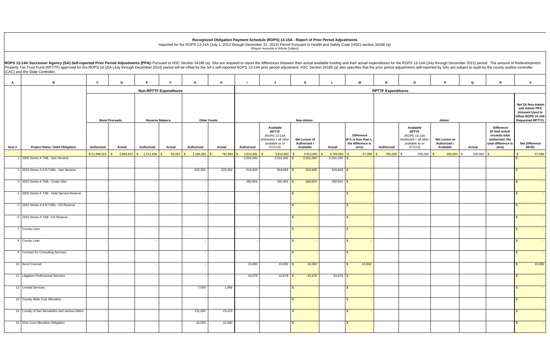|                                                                                                  | OPS 13-14A (July through December 2013) period. The amount of Redevelopment<br>tments self-reported by SAs are subject to audit by the county auditor-controller |               |                                                                                                           |                                                                                                       |
|--------------------------------------------------------------------------------------------------|------------------------------------------------------------------------------------------------------------------------------------------------------------------|---------------|-----------------------------------------------------------------------------------------------------------|-------------------------------------------------------------------------------------------------------|
| О                                                                                                | P                                                                                                                                                                | Q             | R                                                                                                         | s                                                                                                     |
| es                                                                                               |                                                                                                                                                                  |               |                                                                                                           |                                                                                                       |
|                                                                                                  | Admin                                                                                                                                                            |               |                                                                                                           | Net SA Non-Admin<br>and Admin PPA<br>(Amount Used to<br>Offset ROPS 14-15A<br><b>Requested RPTTF)</b> |
| Available<br><b>RPTTF</b><br>(ROPS 13-14A<br>tributed + all other<br>available as of<br>07/1/13) | Net Lesser of<br>Authorized /<br>Available                                                                                                                       | Actual        | <b>Difference</b><br>(If total actual<br>exceeds total<br>authorized, the<br>total difference is<br>zero) | <b>Net Difference</b><br>$(M+R)$                                                                      |
| 250,000                                                                                          | \$<br>250,000                                                                                                                                                    | \$<br>250,000 | \$                                                                                                        | \$<br>57,098                                                                                          |
|                                                                                                  |                                                                                                                                                                  |               |                                                                                                           | $\overline{\mathcal{S}}$                                                                              |
|                                                                                                  |                                                                                                                                                                  |               |                                                                                                           | \$                                                                                                    |
|                                                                                                  |                                                                                                                                                                  |               |                                                                                                           | \$<br>٠                                                                                               |
|                                                                                                  |                                                                                                                                                                  |               |                                                                                                           | \$<br>÷                                                                                               |
|                                                                                                  |                                                                                                                                                                  |               |                                                                                                           | \$<br>٠                                                                                               |
|                                                                                                  |                                                                                                                                                                  |               |                                                                                                           | \$<br>٠                                                                                               |
|                                                                                                  |                                                                                                                                                                  |               |                                                                                                           | \$                                                                                                    |
|                                                                                                  |                                                                                                                                                                  |               |                                                                                                           | \$<br>Ξ                                                                                               |
|                                                                                                  |                                                                                                                                                                  |               |                                                                                                           | \$                                                                                                    |
|                                                                                                  |                                                                                                                                                                  |               |                                                                                                           | $\pmb{\$}$<br>10,000                                                                                  |
|                                                                                                  |                                                                                                                                                                  |               |                                                                                                           | \$                                                                                                    |
|                                                                                                  |                                                                                                                                                                  |               |                                                                                                           | \$                                                                                                    |
|                                                                                                  |                                                                                                                                                                  |               |                                                                                                           | $\frac{1}{2}$                                                                                         |
|                                                                                                  |                                                                                                                                                                  |               |                                                                                                           | \$                                                                                                    |
|                                                                                                  |                                                                                                                                                                  |               |                                                                                                           | \$                                                                                                    |

**Recognized Obligation Payment Schedule (ROPS) 14-15A - Report of Prior Period Adjustments** Reported for the ROPS 13-14A (July 1, 2013 through December 31, 2013) Period Pursuant to Health and Safety Code (HSC) section 34186 (a)

(Report Amounts in Whole Dollars)

AI B ICIDIEIFIGIHIIIJIKILIMINIOIPIQIRIS  **Authorized Actual Authorized Actual Authorized Actual Authorized** Authorized **Available RPTTF**  (ROPS 13-14A distributed + all other available as of 07/1/13)  **Net Lesser of Authorized / Available** Actual  **Difference (If K is less than L, the difference is zero) Authorized AvailableRPTTF** (ROPS 13-14A dis available as of 07/1/13)  **Net Lesser of Authorized / Available Actual Difference(If total actual exceeds total authorized, the total difference is zero) (M+R)**   $\$~21,998,321$   $\$$  3,893,637  $\$$  1,512,836  $\$$  69,652  $\$$  1,185,392  $\$$  791,884  $\$$  3,812,681  $\$$  3,812,681  $\$$  3,812,681  $\$$  3,812,681  $\$$  3,812,681  $\$$  5,755,583  $\$$  57,098  $\$$  250,000  $\$$  250,000  $\$$  250,000  $\$$  250,000 1 2005 Series A TAB - San Sevaine - - - 2,501,000 2,501,000 \$ 2,501,000 2,501,000 \$ - \$ - 2 2010 Series A & B TABs - San Sevaine - - 520,392 520,392 919,849 919,849 \$ 919,849 919,849 \$ - \$ - 3 2010 Series A TAB - Cedar Glen - - - 260,654 260,654 \$ 260,654 260,654 \$ - \$ - 4 2005 Series A TAB - Debt Service Reserve 5 2010 Series A & B TABs - DS Reserve 6 2010 Series A TAB - DS Reserve - - - - \$ - \$ - \$ - 7 County Loan - - - - \$ - \$ - \$ - 8 County Loan - - - - \$ - \$ - \$ - 9 Contract for Consulting Services - - - - \$ - \$ - \$ - 10 | Bond Counsel - - | - | - | - | - | 10,000 | 10,000 | 10,000 | 5 10,000 | 5 10,000 | | | | | | | | | | | | 11 Litigation Professional Services - - - 43,678 43,678 \$ 43,678 43,678 \$ - \$ - 12 Central Services - - 7,500 1,066 - \$ - \$ - \$ - 13 County Wide Cost Allocation - - - - \$ - \$ - \$ - 14 County of San Bernardino and various others - - 131,000 23,470 - \$ - \$ - \$ - 15 EDA Cost Allocation Obligation - - 41,500 41,500 - \$ - \$ - \$ - **Reserve Balance Other Funds RPTTF Expenditur Bond Proceeds** ROPS 13-14A Successor Agency (SA) Self-reported Prior Period Adjustments (PPA): Pursuant to HSC Section 34186 (a), SAs are required to report the differences between their actual available funding and their actual expendit Property Tax Trust Fund (RPTTF) approved for the ROPS 14-15A (July through December 2014) period will be offset by the SA's self-reported ROPS 13-14A prior period adjustment. HSC Section 34186 (a) also specifies that the p (CAC) and the State Controller. **Item # Project Name / Debt Obligation Non-RPTTF Expenditures Non-Admin**n and the second second and the second second second second second second second second second second second second second second second second second second second second second second second second second second second s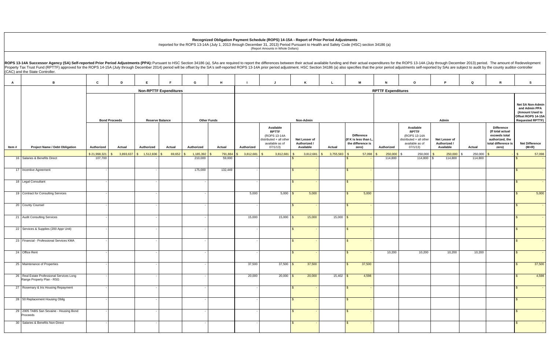| ROPS 13-14A (July through December 2013) period. The amount of Redevelopment<br>ustments self-reported by SAs are subject to audit by the county auditor-controller |                                            |                          |                                                                                                           |                                                                                                       |
|---------------------------------------------------------------------------------------------------------------------------------------------------------------------|--------------------------------------------|--------------------------|-----------------------------------------------------------------------------------------------------------|-------------------------------------------------------------------------------------------------------|
| o                                                                                                                                                                   | P                                          | Q                        | R                                                                                                         | s                                                                                                     |
| ures                                                                                                                                                                |                                            |                          |                                                                                                           |                                                                                                       |
|                                                                                                                                                                     | Admin                                      |                          |                                                                                                           | Net SA Non-Admin<br>and Admin PPA<br>(Amount Used to<br>Offset ROPS 14-15A<br><b>Requested RPTTF)</b> |
| Available<br><b>RPTTF</b><br>(ROPS 13-14A<br>distributed + all other<br>available as of<br>07/1/13)                                                                 | Net Lesser of<br>Authorized /<br>Available | Actual                   | <b>Difference</b><br>(If total actual<br>exceeds total<br>authorized, the<br>total difference is<br>zero) | <b>Net Difference</b><br>(M+R)                                                                        |
| \$<br>250,000<br>114,800                                                                                                                                            | $\,$<br>250,000<br>\$<br>114,800           | \$<br>250,000<br>114,800 | \$                                                                                                        | $\boldsymbol{\mathsf{S}}$<br>57,098<br>\$                                                             |
|                                                                                                                                                                     |                                            |                          |                                                                                                           | \$                                                                                                    |
|                                                                                                                                                                     |                                            |                          |                                                                                                           | $\frac{1}{2}$                                                                                         |
|                                                                                                                                                                     |                                            |                          |                                                                                                           | \$<br>5,000                                                                                           |
|                                                                                                                                                                     |                                            |                          |                                                                                                           | \$                                                                                                    |
|                                                                                                                                                                     |                                            |                          |                                                                                                           | \$<br>\$                                                                                              |
|                                                                                                                                                                     |                                            |                          |                                                                                                           | \$<br>$\qquad \qquad \blacksquare$                                                                    |
| 10,200                                                                                                                                                              | 10,200                                     | 10,200                   |                                                                                                           | \$                                                                                                    |
|                                                                                                                                                                     |                                            |                          |                                                                                                           | \$<br>37,500                                                                                          |
|                                                                                                                                                                     |                                            |                          |                                                                                                           | \$<br>4,598                                                                                           |
|                                                                                                                                                                     |                                            |                          |                                                                                                           | \$                                                                                                    |
|                                                                                                                                                                     |                                            |                          |                                                                                                           | $\sqrt{3}$                                                                                            |
|                                                                                                                                                                     |                                            |                          |                                                                                                           | $\sqrt{3}$                                                                                            |
|                                                                                                                                                                     |                                            |                          |                                                                                                           | \$                                                                                                    |

**Recognized Obligation Payment Schedule (ROPS) 14-15A - Report of Prior Period Adjustments**

Reported for the ROPS 13-14A (July 1, 2013 through December 31, 2013) Period Pursuant to Health and Safety Code (HSC) section 34186 (a) (Report Amounts in Whole Dollars)

AI B ICIDIEIFIGIHIIIJIKILIMINIOIPIQIRIS  **Authorized Actual Authorized Actual Authorized Actual Authorized** Authorized **Available RPTTF**  (ROPS 13-14A distributed + all other available as of 07/1/13)  **Net Lesser of Authorized / Available** Actual  **Difference (If K is less than L, the difference is zero) Authorized**   $\$~21,998,321$   $\$$  3,893,637  $\$$  1,512,836  $\$$  69,652  $\$$  1,185,392  $\$$  791,884  $\$$  3,812,681  $\$$  3,812,681  $\$$  3,812,681  $\$$  3,812,681  $\$$  3,812,681  $\$$  5,755,583  $\$$  57,098  $\$$  250,000  $\$$  250,000  $\$$  250,000  $\$$  250,000  $Reserve$  **Balance Other Funds RPTTF Expenditure Bond Proceeds** ROPS 13-14A Successor Agency (SA) Self-reported Prior Period Adjustments (PPA): Pursuant to HSC Section 34186 (a), SAs are required to report the differences between their actual available funding and their actual expendit Property Tax Trust Fund (RPTTF) approved for the ROPS 14-15A (July through December 2014) period will be offset by the SA's self-reported ROPS 13-14A prior period adjustment. HSC Section 34186 (a) also specifies that the p (CAC) and the State Controller. **Item # Project Name / Debt Obligation Non-RPTTF Expenditures Non-Admin**n and the second second and the second second second second second second second second second second second second second second second second second second second second second second second second second second second s 16 Salaries & Benefits Direct 107,700 - 210,000 59,000 - \$ - \$ - 114,800 114,800 \$ 114,800 114,800 \$ - 17 Incentive Agreement - - 175,000 132,449 - \$ - \$ - \$ - 18 Legal Consultant - - - - \$ - \$ - \$ - 19 | Contract for Consulting Services | - - - | - - | - - | - - | - 5,000 | 5,000 | 5,000 | 5,000 | 5,000 | - | - | - | - | - | 5,000 | 5,000 | 5,000 | - | - | - | - | - | 5,000 | 5 20 County Counsel - - - - \$ - \$ - \$ - 21 Audit Consulting Services - - - 15,000 15,000 \$ 15,000 15,000 \$ - \$ - 22 Services & Supplies (200 Appr Unit) 23 Financial - Professional Services KMA 24 Office Rent - - - - \$ - \$ - 10,200 10,200 10,200 10,200 \$ - 25 Maintenance of Properties - - - 37,500 37,500 \$ 37,500 \$ 37,500 \$ 37,500 26 Real Estate Professional Services Long Range Property Plan - RSG - - - 20,000 20,000 \$ 20,000 15,402 \$ 4,598 \$ 4,598 27 Rosemary & Iris Housing Repayment 28 50 Replacement Housing Oblig - - - - \$ - \$ - \$ - 29 2005 TABS San Sevaine - Housing Bond Proceeds - - - - \$ - \$ - \$ - 30 Salaries & Benefits Non-Direct - - - - \$ - \$ - \$ -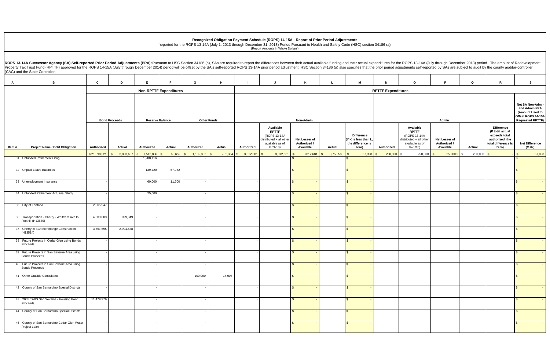|                                                                                                  | OPS 13-14A (July through December 2013) period. The amount of Redevelopment<br>tments self-reported by SAs are subject to audit by the county auditor-controller |               |                                                                                                           |                                                                                                       |
|--------------------------------------------------------------------------------------------------|------------------------------------------------------------------------------------------------------------------------------------------------------------------|---------------|-----------------------------------------------------------------------------------------------------------|-------------------------------------------------------------------------------------------------------|
| О                                                                                                | P                                                                                                                                                                | Q             | R                                                                                                         | s                                                                                                     |
| es                                                                                               |                                                                                                                                                                  |               |                                                                                                           |                                                                                                       |
|                                                                                                  | Admin                                                                                                                                                            |               |                                                                                                           | Net SA Non-Admin<br>and Admin PPA<br>(Amount Used to<br>Offset ROPS 14-15A<br><b>Requested RPTTF)</b> |
| Available<br><b>RPTTF</b><br>(ROPS 13-14A<br>tributed + all other<br>available as of<br>07/1/13) | Net Lesser of<br>Authorized /<br>Available                                                                                                                       | Actual        | <b>Difference</b><br>(If total actual<br>exceeds total<br>authorized, the<br>total difference is<br>zero) | <b>Net Difference</b><br>$(M+R)$                                                                      |
| 250,000                                                                                          | \$<br>250,000                                                                                                                                                    | \$<br>250,000 | \$                                                                                                        | \$<br>57,098                                                                                          |
|                                                                                                  |                                                                                                                                                                  |               |                                                                                                           | $\overline{\mathcal{S}}$                                                                              |
|                                                                                                  |                                                                                                                                                                  |               |                                                                                                           | \$                                                                                                    |
|                                                                                                  |                                                                                                                                                                  |               |                                                                                                           | $\,$<br>٠                                                                                             |
|                                                                                                  |                                                                                                                                                                  |               |                                                                                                           | \$<br>÷                                                                                               |
|                                                                                                  |                                                                                                                                                                  |               |                                                                                                           | \$<br>٠                                                                                               |
|                                                                                                  |                                                                                                                                                                  |               |                                                                                                           | \$<br>٠                                                                                               |
|                                                                                                  |                                                                                                                                                                  |               |                                                                                                           | \$                                                                                                    |
|                                                                                                  |                                                                                                                                                                  |               |                                                                                                           | \$<br>Ξ                                                                                               |
|                                                                                                  |                                                                                                                                                                  |               |                                                                                                           | \$                                                                                                    |
|                                                                                                  |                                                                                                                                                                  |               |                                                                                                           | $\sqrt{3}$                                                                                            |
|                                                                                                  |                                                                                                                                                                  |               |                                                                                                           | \$                                                                                                    |
|                                                                                                  |                                                                                                                                                                  |               |                                                                                                           | \$                                                                                                    |
|                                                                                                  |                                                                                                                                                                  |               |                                                                                                           | \$                                                                                                    |
|                                                                                                  |                                                                                                                                                                  |               |                                                                                                           | \$                                                                                                    |
|                                                                                                  |                                                                                                                                                                  |               |                                                                                                           | \$                                                                                                    |

dis

**Recognized Obligation Payment Schedule (ROPS) 14-15A - Report of Prior Period Adjustments**

Reported for the ROPS 13-14A (July 1, 2013 through December 31, 2013) Period Pursuant to Health and Safety Code (HSC) section 34186 (a) (Report Amounts in Whole Dollars)

AI B ICIDIEIFIGIHIIIJIKILIMINIOIPIQIRIS  **Authorized Actual Authorized Actual Authorized Actual Authorized** Authorized **Available RPTTF**  (ROPS 13-14A distributed + all other available as of 07/1/13)  **Net Lesser of Authorized / Available** Actual  **Difference (If K is less than L, the difference is zero) Authorized**   $\$~21,998,321$   $\$$  3,893,637  $\$$  1,512,836  $\$$  69,652  $\$$  1,185,392  $\$$  791,884  $\$$  3,812,681  $\$$  3,812,681  $\$$  3,812,681  $\$$  3,812,681  $\$$  3,812,681  $\$$  5,755,583  $\$$  57,098  $\$$  250,000  $\$$  250,000  $\$$  250,000  $\$$  250,000 **Reserve Balance Other Funds RPTTF Expenditur Bond Proceeds** ROPS 13-14A Successor Agency (SA) Self-reported Prior Period Adjustments (PPA): Pursuant to HSC Section 34186 (a), SAs are required to report the differences between their actual available funding and their actual expendit Property Tax Trust Fund (RPTTF) approved for the ROPS 14-15A (July through December 2014) period will be offset by the SA's self-reported ROPS 13-14A prior period adjustment. HSC Section 34186 (a) also specifies that the p (CAC) and the State Controller. **Item # Project Name / Debt Obligation Non-RPTTF Expenditures Non-Admin**n and the second second and the second second second second second second second second second second second second second second second second second second second second second second second second second second second s 31 Unfunded Retirement Oblig - 1,288,116 - - - \$ - \$ - \$ - 32 Unpaid Leave Balances - 139,720 57,952 - - \$ - \$ - \$ - 33 | Unemployment Insurance - | | 60,000 | 11,700 | - | | <mark>\$ -</mark> | <mark>\$ -</mark> 34 Unfunded Retirement Actuarial Study - 25,000 35 City of Fontana 2,065,947 - - - \$ - \$ - \$ - 36 Transportation - Cherry - Whittram Ave to Foothill (H13630) 4,683,003 899,049 - - - \$ - \$ - \$ - 37 Cherry @ I10 Interchange Construction (H13514) 3,661,695 2,994,588 - - - \$ - \$ - \$ - 38 Future Projects in Cedar Glen using Bonds Proceeds - - - - \$ - \$ - \$ - 39 Future Projects in San Sevaine Area using Bonds Proceeds - - - - \$ - \$ - \$ - 40 Future Projects in San Sevaine Area using Bonds Proceeds - - - - \$ - \$ - \$ - 41 Other Outside Consultants - - 100,000 14,007 - \$ - \$ - \$ - 42 County of San Bernardino Special Districts 43 2005 TABS San Sevaine - Housing Bond Proceeds 11,479,976 - - - \$ - \$ - \$ - 44 County of San Bernardino Special Districts 45 County of San Bernardino Cedar Glen Water Project Loan - - - - \$ - \$ - \$ -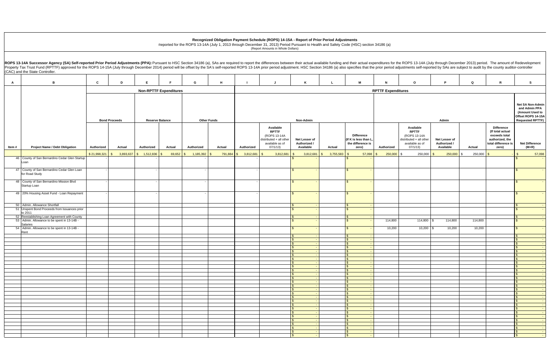**Recognized Obligation Payment Schedule (ROPS) 14-15A - Report of Prior Period Adjustments**

AI B ICIDIEIFIGIHIIIJIKILIMINIOIPIQIRIS  **Authorized Actual Authorized Actual Authorized Actual Authorized** Authorized **Available RPTTF**  (ROPS 13-14A distributed + all other available as of 07/1/13)  **Net Lesser of Authorized / Available** Actual  **Difference (If K is less than L, the difference is zero) Authorized AvailableRPTTF** (ROPS 13-14A dis available as of 07/1/13)  **Net Lesser of Authorized / Available Actual Difference(If total actual exceeds total authorized, the total difference is zero) (M+R)**   $\$~21,998,321$   $\$$  3,893,637  $\$$  1,512,836  $\$$  69,652  $\$$  1,185,392  $\$$  791,884  $\$$  3,812,681  $\$$  3,812,681  $\$$  3,812,681  $\$$  3,812,681  $\$$  3,812,681  $\$$  5,755,583  $\$$  57,098  $\$$  250,000  $\$$  250,000  $\$$  250,000  $\$$  250,000  $Reserve$  **Balance Other Funds RPTTF Expenditure Bond Proceeds** ROPS 13-14A Successor Agency (SA) Self-reported Prior Period Adjustments (PPA): Pursuant to HSC Section 34186 (a), SAs are required to report the differences between their actual available funding and their actual expendit Property Tax Trust Fund (RPTTF) approved for the ROPS 14-15A (July through December 2014) period will be offset by the SA's self-reported ROPS 13-14A prior period adjustment. HSC Section 34186 (a) also specifies that the p (CAC) and the State Controller. **Item # Project Name / Debt Obligation Non-RPTTF Expenditures Non-Admin**n and the second second and the second second second second second second second second second second second second second second second second second second second second second second second second second second second s 46 County of San Bernardino Cedar Glen Startup Loan - - - - \$ - \$ - \$ - 47 County of San Bernardino Cedar Glen Loan for Road Study - - - - \$ - \$ - \$ - 48 County of San Bernardino Mission Blvd Startup Loan - - - - \$ - \$ - \$ - 49 20% Housing Asset Fund - Loan Repayment - - - - \$ - \$ - \$ - 50 Admin. Allowance Shortfall \$ - \$ - \$ - 51 Unspent Bond Proceeds from Issuances prior to 201152 Reestablishing Loan Agreement with County **19 County in the county of the county of the county of the county**  \$ - \$ - \$ - 53 Admin. Allowance to be spent in 13-14B - Salaries  $\text{\textsterling}}$  5 -  $\text{\textsterling}}$  114,800 | 114,800 | 3 - 114,800 | 3 - 114,800 | 3 - 114,800 | 3 - 114,800 | 3 - 114,800 | 3 - 114,800 | 3 - 114,800 | 3 - 114,800 | 3 - 114,800 | 3 - 114,800 | 3 - 114,800 | 3 - 114,800 | 3 - 114,8 54 Admin. Allowance to be spent in 13-14B - Rent  $\text{\textsterling}}$  -  $\text{\textsterling}}$  - 10,200 10.200 \ 10,200 | 10,200 | 10,200 | 10,200 | \  $\text{\textsterling}}$ \$ - \$ - \$ - \$ - \$ - \$ - \$ - \$ - \$ - \$ - \$ - \$ - \$ - \$ - \$ - \$ - \$ - \$ - \$ - \$ - \$ - \$ - \$ - \$ - \$ - \$ - \$ - \$ - \$ - \$ - \$ - \$ - \$ - \$ - \$ - \$ - \$ - \$ - \$ - \$ - \$ - \$ - \$ - \$ - \$ - \$ - \$ - \$ - \$ - \$ - \$ - \$ - \$ - \$ - \$ - \$ - \$ - \$ - \$ - \$ -  $\texttt{S}$  -  $\texttt{S}$  -  $\texttt{S}$  -  $\texttt{S}$  -  $\texttt{S}$  -  $\texttt{S}$  -  $\texttt{S}$  -  $\texttt{S}$  -  $\texttt{S}$ \$ - \$ - \$ - \$ - \$ - \$ - \$ - \$ - \$ -  $\texttt{S}$  -  $\texttt{S}$  -  $\texttt{S}$  -  $\texttt{S}$  -  $\texttt{S}$  -  $\texttt{S}$  -  $\texttt{S}$  -  $\texttt{S}$  -  $\texttt{S}$ 

Reported for the ROPS 13-14A (July 1, 2013 through December 31, 2013) Period Pursuant to Health and Safety Code (HSC) section 34186 (a) (Report Amounts in Whole Dollars)

|                           |                                            |                            |                                                        |                             |                           | n their actual available funding and their actual expenditures for the ROPS 13-14A (July through December 2013) period. The amount of Redevelopment<br>nent. HSC Section 34186 (a) also specifies that the prior period adjustments self-reported by SAs are subject to audit by the county auditor-controller |                         |                               |               |                                   |                                                                      |
|---------------------------|--------------------------------------------|----------------------------|--------------------------------------------------------|-----------------------------|---------------------------|----------------------------------------------------------------------------------------------------------------------------------------------------------------------------------------------------------------------------------------------------------------------------------------------------------------|-------------------------|-------------------------------|---------------|-----------------------------------|----------------------------------------------------------------------|
|                           |                                            |                            |                                                        |                             |                           |                                                                                                                                                                                                                                                                                                                |                         |                               |               |                                   |                                                                      |
|                           |                                            |                            |                                                        |                             |                           |                                                                                                                                                                                                                                                                                                                |                         |                               |               |                                   |                                                                      |
| Κ                         |                                            | L                          |                                                        | M                           | N                         | O                                                                                                                                                                                                                                                                                                              |                         | P                             | Q             | R                                 | s                                                                    |
|                           |                                            |                            |                                                        |                             | <b>RPTTF Expenditures</b> |                                                                                                                                                                                                                                                                                                                |                         |                               |               |                                   |                                                                      |
|                           |                                            |                            |                                                        |                             |                           |                                                                                                                                                                                                                                                                                                                |                         |                               |               |                                   |                                                                      |
|                           |                                            |                            |                                                        |                             |                           |                                                                                                                                                                                                                                                                                                                |                         |                               |               |                                   | <b>Net SA Non-Admin</b><br>and Admin PPA                             |
|                           |                                            |                            |                                                        |                             |                           |                                                                                                                                                                                                                                                                                                                |                         |                               |               |                                   | (Amount Used to                                                      |
| Non-Admin                 |                                            |                            |                                                        |                             |                           |                                                                                                                                                                                                                                                                                                                |                         | Admin                         |               |                                   | Offset ROPS 14-15A<br><b>Requested RPTTF)</b>                        |
|                           |                                            |                            |                                                        |                             |                           | Available                                                                                                                                                                                                                                                                                                      |                         |                               |               | <b>Difference</b>                 |                                                                      |
|                           |                                            |                            |                                                        | <b>Difference</b>           |                           | <b>RPTTF</b><br>(ROPS 13-14A                                                                                                                                                                                                                                                                                   |                         |                               |               | (If total actual<br>exceeds total |                                                                      |
| Net Lesser of             |                                            |                            |                                                        | (If K is less than L,       |                           | distributed + all other                                                                                                                                                                                                                                                                                        |                         | Net Lesser of<br>Authorized / |               | authorized, the                   |                                                                      |
| Authorized /<br>Available |                                            | Actual                     |                                                        | the difference is<br>zero)  | Authorized                | available as of<br>07/1/13)                                                                                                                                                                                                                                                                                    |                         | Available                     | <b>Actual</b> | total difference is<br>zero)      | <b>Net Difference</b><br>$(M+R)$                                     |
| 3,812,681<br>\$           |                                            | $\mathsf{\$}$<br>3,755,583 | $\mathbb{S}$                                           | 57,098                      | $\mathfrak{s}$<br>250,000 | \$<br>250,000                                                                                                                                                                                                                                                                                                  | $\sqrt[6]{\frac{1}{2}}$ | 250,000                       | \$<br>250,000 | \$                                | $\,$<br>57,098                                                       |
| \$                        |                                            |                            | \$                                                     |                             |                           |                                                                                                                                                                                                                                                                                                                |                         |                               |               |                                   | \$                                                                   |
| \$                        | ä,                                         |                            | \$                                                     | ä,                          |                           |                                                                                                                                                                                                                                                                                                                |                         |                               |               |                                   | \$                                                                   |
|                           |                                            |                            |                                                        |                             |                           |                                                                                                                                                                                                                                                                                                                |                         |                               |               |                                   |                                                                      |
| \$                        | ä,                                         |                            | \$                                                     | ٠                           |                           |                                                                                                                                                                                                                                                                                                                |                         |                               |               |                                   | \$                                                                   |
|                           |                                            |                            |                                                        |                             |                           |                                                                                                                                                                                                                                                                                                                |                         |                               |               |                                   |                                                                      |
| \$                        | $\blacksquare$                             |                            | \$                                                     | ٠                           |                           |                                                                                                                                                                                                                                                                                                                |                         |                               |               |                                   | \$                                                                   |
|                           |                                            |                            |                                                        |                             |                           |                                                                                                                                                                                                                                                                                                                |                         |                               |               |                                   |                                                                      |
| \$                        | $\blacksquare$<br>ä,                       |                            | $\pmb{\$}$<br>$\frac{1}{2}$                            | $\blacksquare$<br>ä,        |                           |                                                                                                                                                                                                                                                                                                                |                         |                               |               |                                   | $\frac{1}{2}$<br>\$                                                  |
| \$<br>\$                  | $\blacksquare$                             |                            | \$                                                     | $\blacksquare$              |                           |                                                                                                                                                                                                                                                                                                                |                         |                               |               |                                   | \$<br>$\blacksquare$                                                 |
|                           | $\Box$                                     |                            | \$                                                     | ä,                          | 114,800                   | 114,800                                                                                                                                                                                                                                                                                                        | \$                      | 114,800                       | 114,800       |                                   | $\,$                                                                 |
| \$                        | $\blacksquare$                             |                            | \$                                                     | $\blacksquare$              | 10,200                    | 10,200                                                                                                                                                                                                                                                                                                         | \$                      | 10,200                        | 10,200        |                                   | \$<br>$\overline{\phantom{a}}$                                       |
| \$<br>\$                  | $\omega$<br>$\overline{\phantom{a}}$       |                            | \$<br>$\pmb{\mathcal{S}}$                              | $\omega$<br>$\Box$          |                           |                                                                                                                                                                                                                                                                                                                |                         |                               |               |                                   | $\sqrt[6]{\frac{1}{2}}$<br>$\omega$<br>$\$\$<br>$\Box$               |
| $\overline{\mathbf{S}}$   | $\Box$                                     |                            | \$                                                     | $\omega$                    |                           |                                                                                                                                                                                                                                                                                                                |                         |                               |               |                                   | \$<br>$\omega$                                                       |
|                           | $\blacksquare$<br>$\overline{\phantom{a}}$ |                            | \$<br>\$                                               | $\blacksquare$<br>÷         |                           |                                                                                                                                                                                                                                                                                                                |                         |                               |               |                                   | \$<br>$\omega$<br>$\sqrt[6]{\frac{1}{2}}$<br>÷,                      |
|                           |                                            |                            | $\mathfrak{s}$                                         |                             |                           |                                                                                                                                                                                                                                                                                                                |                         |                               |               |                                   | $\mathcal{R}$                                                        |
| \$                        | $\blacksquare$<br>$\sim$                   |                            | $\pmb{\mathcal{S}}$<br>$\sqrt[6]{\frac{1}{2}}$         | $\sim$<br>$\sim$            |                           |                                                                                                                                                                                                                                                                                                                |                         |                               |               |                                   | $\,$<br>$\sqrt[6]{\frac{1}{2}}$                                      |
| \$                        | $\omega$                                   |                            | \$                                                     | $\omega$                    |                           |                                                                                                                                                                                                                                                                                                                |                         |                               |               |                                   | ä,<br>$\frac{1}{2}$                                                  |
| \$<br>\$                  | $\omega$<br>$\blacksquare$                 |                            | $\boldsymbol{\mathsf{S}}$<br>$\pmb{\mathsf{\$}}$       | $\omega$<br>$\blacksquare$  |                           |                                                                                                                                                                                                                                                                                                                |                         |                               |               |                                   | $\,$<br>$\omega$<br>$\sqrt[6]{\frac{1}{2}}$<br>$\Box$                |
| \$                        | $\omega_{\rm c}$                           |                            | $\sqrt{2}$                                             | $\mathcal{L}_{\mathcal{A}}$ |                           |                                                                                                                                                                                                                                                                                                                |                         |                               |               |                                   | $\sqrt[6]{3}$<br>$\omega$                                            |
| \$<br>\$                  | $\omega$<br>$\omega$                       |                            | $\boldsymbol{\mathsf{S}}$<br>$\boldsymbol{\mathsf{S}}$ | $\sim$<br>$\omega$          |                           |                                                                                                                                                                                                                                                                                                                |                         |                               |               |                                   | $\,$<br>$\sim$<br>$\boldsymbol{\mathsf{S}}$<br>$\omega$              |
| \$                        | $\omega$                                   |                            | $\boldsymbol{\mathsf{S}}$                              | $\equiv$                    |                           |                                                                                                                                                                                                                                                                                                                |                         |                               |               |                                   | ÷,<br>$\frac{1}{2}$                                                  |
| \$                        | $\omega$                                   |                            | $\sqrt{2}$                                             | $\omega$                    |                           |                                                                                                                                                                                                                                                                                                                |                         |                               |               |                                   | $\Box$<br>$\sqrt[6]{\frac{1}{2}}$                                    |
| \$<br>\$                  | $\blacksquare$<br>$\omega$                 |                            | $\pmb{\mathsf{\$}}$<br>$\sqrt{3}$                      | $\equiv$<br>$\omega$        |                           |                                                                                                                                                                                                                                                                                                                |                         |                               |               |                                   | $\boldsymbol{\$}$<br>$\omega$<br>$\frac{1}{2}$<br>$\Box$             |
| \$                        | $\sim$                                     |                            | $\sqrt{3}$                                             | $\omega$                    |                           |                                                                                                                                                                                                                                                                                                                |                         |                               |               |                                   | $\sqrt[6]{\frac{1}{2}}$<br>$\Box$                                    |
| \$<br>\$                  | $\omega$<br>$\omega$                       |                            | $\boldsymbol{\mathsf{S}}$<br>$\boldsymbol{\mathsf{S}}$ | $\sim$<br>$\equiv$          |                           |                                                                                                                                                                                                                                                                                                                |                         |                               |               |                                   | $\sqrt[6]{\frac{1}{2}}$<br>$\sim$<br>÷,<br>$\boldsymbol{\mathsf{S}}$ |
| \$                        | $\omega$                                   |                            | $\sqrt{3}$                                             | $\omega$                    |                           |                                                                                                                                                                                                                                                                                                                |                         |                               |               |                                   | ÷,<br>$\sqrt[6]{\frac{1}{2}}$                                        |
| \$                        | $\blacksquare$                             |                            | \$                                                     | $\omega$                    |                           |                                                                                                                                                                                                                                                                                                                |                         |                               |               |                                   | $\sqrt{2}$<br>$\Box$<br>$\omega$                                     |
| \$<br>\$                  | $\omega$<br>$\blacksquare$                 |                            | $\,$<br>$\sqrt{3}$                                     | $\omega$<br>$\sim$          |                           |                                                                                                                                                                                                                                                                                                                |                         |                               |               |                                   | $\sqrt{2}$<br>$\sqrt[6]{\frac{1}{2}}$<br>$\Box$                      |
| \$                        | $\sim$                                     |                            | $\boldsymbol{\mathsf{S}}$                              | $\omega$                    |                           |                                                                                                                                                                                                                                                                                                                |                         |                               |               |                                   | $\,$<br>$\omega$                                                     |
| \$                        | $\omega$                                   |                            | $\,$                                                   | $\omega$                    |                           |                                                                                                                                                                                                                                                                                                                |                         |                               |               |                                   | Ξ<br>$\boldsymbol{\mathsf{S}}$                                       |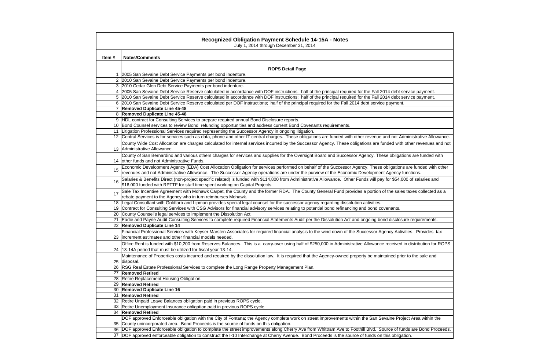|       | <b>Recognized Obligation Payment Schedule 14-15A - Notes</b><br>July 1, 2014 through December 31, 2014                                                                                                                                                                                                           |  |  |  |  |  |  |  |  |
|-------|------------------------------------------------------------------------------------------------------------------------------------------------------------------------------------------------------------------------------------------------------------------------------------------------------------------|--|--|--|--|--|--|--|--|
| Item# | <b>Notes/Comments</b>                                                                                                                                                                                                                                                                                            |  |  |  |  |  |  |  |  |
|       | <b>ROPS Detail Page</b>                                                                                                                                                                                                                                                                                          |  |  |  |  |  |  |  |  |
|       | 2005 San Sevaine Debt Service Payments per bond indenture.                                                                                                                                                                                                                                                       |  |  |  |  |  |  |  |  |
|       | 2 2010 San Sevaine Debt Service Payments per bond indenture.                                                                                                                                                                                                                                                     |  |  |  |  |  |  |  |  |
|       | 3 2010 Cedar Glen Debt Service Payments per bond indenture.                                                                                                                                                                                                                                                      |  |  |  |  |  |  |  |  |
| 4     | 2005 San Sevaine Debt Service Reserve calculated in accordance with DOF instructions: half of the principal required for the Fall 2014 debt service payment.                                                                                                                                                     |  |  |  |  |  |  |  |  |
|       | 5 2010 San Sevaine Debt Service Reserve calculated in accordance with DOF instructions; half of the principal required for the Fall 2014 debt service payment.                                                                                                                                                   |  |  |  |  |  |  |  |  |
|       | 6 2010 San Sevaine Debt Service Reserve calculated per DOF instructions; half of the principal required for the Fall 2014 debt service payment.                                                                                                                                                                  |  |  |  |  |  |  |  |  |
|       | 7 Removed Duplicate Line 45-48                                                                                                                                                                                                                                                                                   |  |  |  |  |  |  |  |  |
| 8     | <b>Removed Duplicate Line 45-48</b>                                                                                                                                                                                                                                                                              |  |  |  |  |  |  |  |  |
|       | HDL contract for Consulting Services to prepare required annual Bond Disclosure reports.                                                                                                                                                                                                                         |  |  |  |  |  |  |  |  |
|       | 10 Bond Counsel services to review Bond refunding opportunities and address current Bond Covenants requirements.                                                                                                                                                                                                 |  |  |  |  |  |  |  |  |
|       | 11 Litigation Professional Services required representing the Successor Agency in ongoing litigation.                                                                                                                                                                                                            |  |  |  |  |  |  |  |  |
|       | 12 Central Services is for services such as data, phone and other IT central charges. These obligations are funded with other revenue and not Administrative Allowance.                                                                                                                                          |  |  |  |  |  |  |  |  |
|       | County Wide Cost Allocation are charges calculated for internal services incurred by the Successor Agency. These obligations are funded with other revenues and not<br>13 Administrative Allowance.                                                                                                              |  |  |  |  |  |  |  |  |
|       | County of San Bernardino and various others charges for services and supplies for the Oversight Board and Successor Agency. These obligations are funded with<br>14 other funds and not Administrative Funds.                                                                                                    |  |  |  |  |  |  |  |  |
| 15    | Economic Development Agency (EDA) Cost Allocation Obligation for services performed on behalf of the Successor Agency. These obligations are funded with other<br>revenues and not Administrative Allowance. The Successor Agency operations are under the purview of the Economic Development Agency functions. |  |  |  |  |  |  |  |  |
| 16    | Salaries & Benefits Direct (non-project specific related) is funded with \$114,800 from Administrative Allowance. Other Funds will pay for \$54,000 of salaries and<br>\$16,000 funded with RPTTF for staff time spent working on Capital Projects.                                                              |  |  |  |  |  |  |  |  |
| 17    | Sale Tax Incentive Agreement with Mohawk Carpet, the County and the former RDA. The County General Fund provides a portion of the sales taxes collected as a<br>rebate payment to the Agency who in turn reimburses Mohawk.                                                                                      |  |  |  |  |  |  |  |  |
|       | 18 Legal Consultant with Goldfarb and Lipman provides special legal counsel for the successor agency regarding dissolution activities.                                                                                                                                                                           |  |  |  |  |  |  |  |  |
|       | 19 Contract for Consulting Services with CSG Advisors for financial advisory services relating to potential bond refinancing and bond covenants.                                                                                                                                                                 |  |  |  |  |  |  |  |  |
| 20    | County Counsel's legal services to implement the Dissolution Act.                                                                                                                                                                                                                                                |  |  |  |  |  |  |  |  |
|       | Eadie and Payne Audit Consulting Services to complete required Financial Statements Audit per the Dissolution Act and ongoing bond disclosure requirements.                                                                                                                                                      |  |  |  |  |  |  |  |  |
|       | 22 Removed Duplicate Line 14                                                                                                                                                                                                                                                                                     |  |  |  |  |  |  |  |  |
|       | Financial Professional Services with Keyser Marsten Associates for required financial analysis to the wind down of the Successor Agency Activities. Provides tax<br>23 increment estimates and other financial models needed.                                                                                    |  |  |  |  |  |  |  |  |
|       | Office Rent is funded with \$10,200 from Reserves Balances. This is a carry-over using half of \$250,000 in Administrative Allowance received in distribution for ROPS                                                                                                                                           |  |  |  |  |  |  |  |  |
|       | 24   13-14A period that must be utilized for fiscal year 13-14.                                                                                                                                                                                                                                                  |  |  |  |  |  |  |  |  |
|       | Maintenance of Properties costs incurred and required by the dissolution law. It is required that the Agency-owned property be maintained prior to the sale and                                                                                                                                                  |  |  |  |  |  |  |  |  |
| 25    | disposal.                                                                                                                                                                                                                                                                                                        |  |  |  |  |  |  |  |  |
|       | 26 RSG Real Estate Professional Services to complete the Long Range Property Management Plan.                                                                                                                                                                                                                    |  |  |  |  |  |  |  |  |
|       | 27 Removed Retired                                                                                                                                                                                                                                                                                               |  |  |  |  |  |  |  |  |
|       | 28 Retire Replacement Housing Obligation.                                                                                                                                                                                                                                                                        |  |  |  |  |  |  |  |  |
|       | 29 Removed Retired                                                                                                                                                                                                                                                                                               |  |  |  |  |  |  |  |  |
|       | 30   Removed Duplicate Line 16                                                                                                                                                                                                                                                                                   |  |  |  |  |  |  |  |  |
|       | 31 Removed Retired                                                                                                                                                                                                                                                                                               |  |  |  |  |  |  |  |  |
|       | 32 Retire Unpaid Leave Balances obligation paid in previous ROPS cycle.                                                                                                                                                                                                                                          |  |  |  |  |  |  |  |  |
|       | 33 Retire Unemployment Insurance obligation paid in previous ROPS cycle.                                                                                                                                                                                                                                         |  |  |  |  |  |  |  |  |
|       | 34 Removed Retired                                                                                                                                                                                                                                                                                               |  |  |  |  |  |  |  |  |
|       | DOF approved Enforceable obligation with the City of Fontana; the Agency complete work on street improvements within the San Sevaine Project Area within the                                                                                                                                                     |  |  |  |  |  |  |  |  |
|       | 35 County unincorporated area. Bond Proceeds is the source of funds on this obligation.                                                                                                                                                                                                                          |  |  |  |  |  |  |  |  |
|       | 36 DOF approved Enforceable obligation to complete the street improvements along Cherry Ave from Whittram Ave to Foothill Blvd. Source of funds are Bond Proceeds.                                                                                                                                               |  |  |  |  |  |  |  |  |
|       | 37 DOF approved enforceable obligation to construct the I-10 Interchange at Cherry Avenue. Bond Proceeds is the source of funds on this obligation.                                                                                                                                                              |  |  |  |  |  |  |  |  |